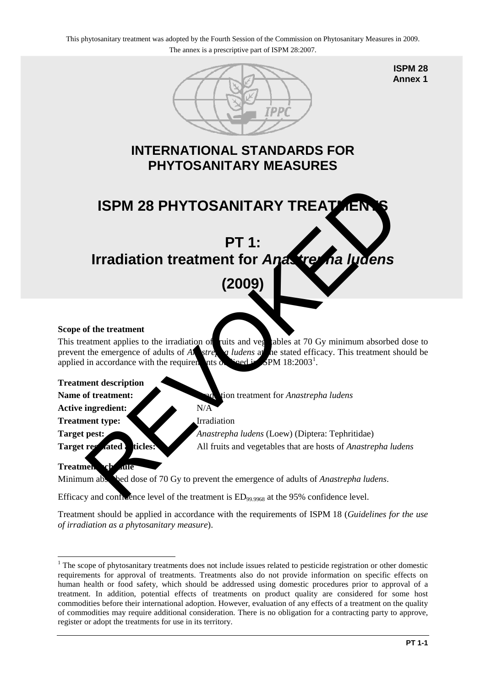

**ISPM 28 Annex 1**

# **INTERNATIONAL STANDARDS FOR PHYTOSANITARY MEASURES**



## **Scope of the treatment**

This treatment applies to the irradiation of ruits and veg ables at 70 Gy minimum absorbed dose to prevent the emergence of adults of *A***s** *A*<sub>strepha *ludens* at the stated efficacy. This treatment should be</sub> applied in accordance with the requirements  $\alpha$  $SPM 18:2003<sup>1</sup>$ .

#### **Treatment description**

**Name of treatment:** Integration treatment for *Anastrepha ludens* 

Active ingredient: N/A

**Treatment type:** Irradiation

**Target pest:** *Anastrepha ludens* (Loew) (Diptera: Tephritidae) **Target regulated articles:** All fruits and vegetables that are hosts of *Anastrepha ludens* 

#### **Treatment schedule**

Minimum absorbed dose of 70 Gy to prevent the emergence of adults of *Anastrepha ludens*.

Efficacy and confidence level of the treatment is  $ED_{99.9968}$  at the 95% confidence level.

Treatment should be applied in accordance with the requirements of ISPM 18 (*Guidelines for the use of irradiation as a phytosanitary measure*).

<span id="page-0-0"></span><sup>&</sup>lt;u>.</u> <sup>1</sup> The scope of phytosanitary treatments does not include issues related to pesticide registration or other domestic requirements for approval of treatments. Treatments also do not provide information on specific effects on human health or food safety, which should be addressed using domestic procedures prior to approval of a treatment. In addition, potential effects of treatments on product quality are considered for some host commodities before their international adoption. However, evaluation of any effects of a treatment on the quality of commodities may require additional consideration. There is no obligation for a contracting party to approve, register or adopt the treatments for use in its territory.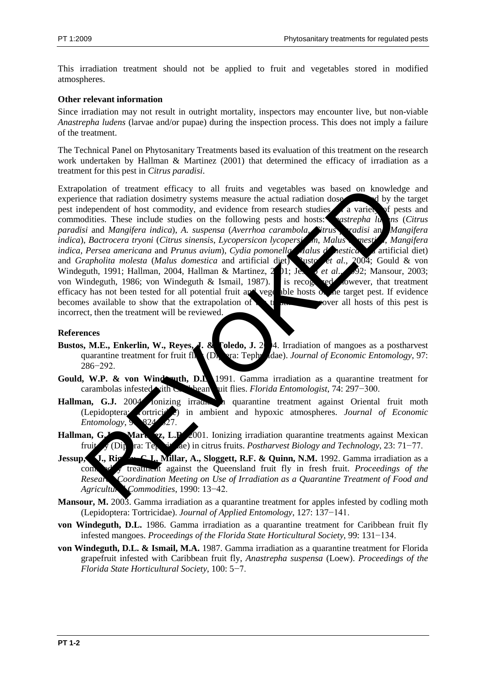This irradiation treatment should not be applied to fruit and vegetables stored in modified atmospheres.

#### **Other relevant information**

Since irradiation may not result in outright mortality, inspectors may encounter live, but non-viable *Anastrepha ludens* (larvae and/or pupae) during the inspection process. This does not imply a failure of the treatment.

The Technical Panel on Phytosanitary Treatments based its evaluation of this treatment on the research work undertaken by Hallman & Martinez (2001) that determined the efficacy of irradiation as a treatment for this pest in *Citrus paradisi*.

Extrapolation of treatment efficacy to all fruits and vegetables was based on knowledge and experience that radiation dosimetry systems measure the actual radiation dose absorbed by the target pest independent of host commodity, and evidence from research studies a variety of pests and commodities. These include studies on the following pests and hosts: *Anastrepha lums* (*Citrus paradisi* and *Mangifera indica*), *A. suspensa* (*Averrhoa carambola*, *Citrus paradisi* and *Mangifera indica*), *Bactrocera tryoni* (*Citrus sinensis*, *Lycopersicon lycopersicum*, *Malus domestica*, *Mangifera indica*, *Persea americana* and *Prunus avium*), *Cydia pomonella* (*Aalus domestica* artificial diet) and *Grapholita molesta* (*Malus domestica* and artificial diet) usto et al., 2004; Gould & von and *Grapholita molesta* (*Malus domestica* and artificial diet) susto *et al.*, Windeguth, 1991; Hallman, 2004, Hallman & Martinez, 201; Jesse *et al.*, 92; Mansour, 2003; von Windeguth, 1986; von Windeguth & Ismail, 1987). It is recognized lowever, that treatment efficacy has not been tested for all potential fruit and vegetable hosts of the target pest. If evidence becomes available to show that the extrapolation of the treatment over all hosts of this pest is incorrect, then the treatment will be reviewed. blation of treatment efficecy to all fruits and vegetables was based on knowled<br>nee that radiation dosinerty systems measure the actual radiation doses.<br>
determinent of host commodity, and evidence from research studies.

### **References**

- **Bustos, M.E., Enkerlin, W., Reyes, J. & Toledo, J. 2004.** Irradiation of mangoes as a postharvest quarantine treatment for fruit fl**ides** (Diptera: Tephridae). *Journal of Economic Entomology*, 97: 286−292.
- Gould, W.P. & von Windesuth, D.L. 1991. Gamma irradiation as a quarantine treatment for carambolas infested with Caribbean fruit flies. *Florida Entomologist*, 74: 297−300.
- Hallman, G.J. 2004 Ionizing irradiation all quarantine treatment against Oriental fruit moth (Lepidoptera: Tortricidae) in ambient and hypoxic atmospheres. *Journal of Economic Entomology*,
- Hallman, G.J. Martingz, L.P. 2001. Ionizing irradiation quarantine treatments against Mexican fruit fly (Diptera: Tephritidae) in citrus fruits. *Postharvest Biology and Technology*, 23: 71−77.
- **Jessup, J., Rigney, C.J., Millar, A., Sloggett, R.F. & Quinn, N.M.** 1992. Gamma irradiation as a commodity treatment against the Queensland fruit fly in fresh fruit. *Proceedings of the* **Research Coordination Meeting on Use of Irradiation as a Quarantine Treatment of Food and** *Agricultural Commodities*, 1990: 13−42.
- **Mansour, M.** 2003. Gamma irradiation as a quarantine treatment for apples infested by codling moth (Lepidoptera: Tortricidae). *Journal of Applied Entomology*, 127: 137−141.
- **von Windeguth, D.L.** 1986. Gamma irradiation as a quarantine treatment for Caribbean fruit fly infested mangoes. *Proceedings of the Florida State Horticultural Society*, 99: 131−134.
- **von Windeguth, D.L. & Ismail, M.A.** 1987. Gamma irradiation as a quarantine treatment for Florida grapefruit infested with Caribbean fruit fly, *Anastrepha suspensa* (Loew). *Proceedings of the Florida State Horticultural Society*, 100: 5−7.